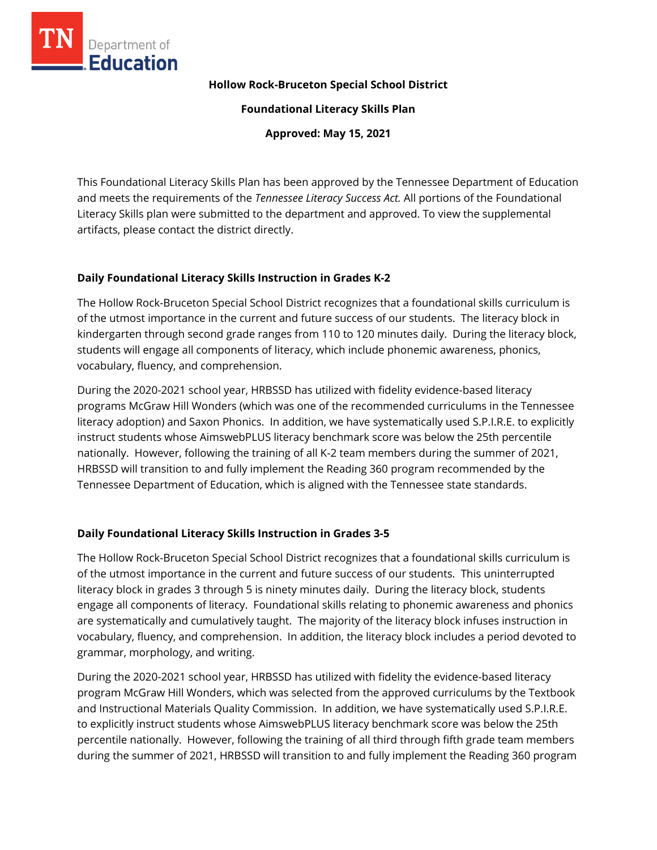

#### **Hollow Rock-Bruceton Special School District**

**Foundational Literacy Skills Plan**

**Approved: May 15, 2021**

This Foundational Literacy Skills Plan has been approved by the Tennessee Department of Education and meets the requirements of the *Tennessee Literacy Success Act.* All portions of the Foundational Literacy Skills plan were submitted to the department and approved. To view the supplemental artifacts, please contact the district directly.

#### **Daily Foundational Literacy Skills Instruction in Grades K-2**

The Hollow Rock-Bruceton Special School District recognizes that a foundational skills curriculum is of the utmost importance in the current and future success of our students. The literacy block in kindergarten through second grade ranges from 110 to 120 minutes daily. During the literacy block, students will engage all components of literacy, which include phonemic awareness, phonics, vocabulary, fluency, and comprehension.

During the 2020-2021 school year, HRBSSD has utilized with fidelity evidence-based literacy programs McGraw Hill Wonders (which was one of the recommended curriculums in the Tennessee literacy adoption) and Saxon Phonics. In addition, we have systematically used S.P.I.R.E. to explicitly instruct students whose AimswebPLUS literacy benchmark score was below the 25th percentile nationally. However, following the training of all K-2 team members during the summer of 2021, HRBSSD will transition to and fully implement the Reading 360 program recommended by the Tennessee Department of Education, which is aligned with the Tennessee state standards.

# **Daily Foundational Literacy Skills Instruction in Grades 3-5**

The Hollow Rock-Bruceton Special School District recognizes that a foundational skills curriculum is of the utmost importance in the current and future success of our students. This uninterrupted literacy block in grades 3 through 5 is ninety minutes daily. During the literacy block, students engage all components of literacy. Foundational skills relating to phonemic awareness and phonics are systematically and cumulatively taught. The majority of the literacy block infuses instruction in vocabulary, fluency, and comprehension. In addition, the literacy block includes a period devoted to grammar, morphology, and writing.

During the 2020-2021 school year, HRBSSD has utilized with fidelity the evidence-based literacy program McGraw Hill Wonders, which was selected from the approved curriculums by the Textbook and Instructional Materials Quality Commission. In addition, we have systematically used S.P.I.R.E. to explicitly instruct students whose AimswebPLUS literacy benchmark score was below the 25th percentile nationally. However, following the training of all third through fifth grade team members during the summer of 2021, HRBSSD will transition to and fully implement the Reading 360 program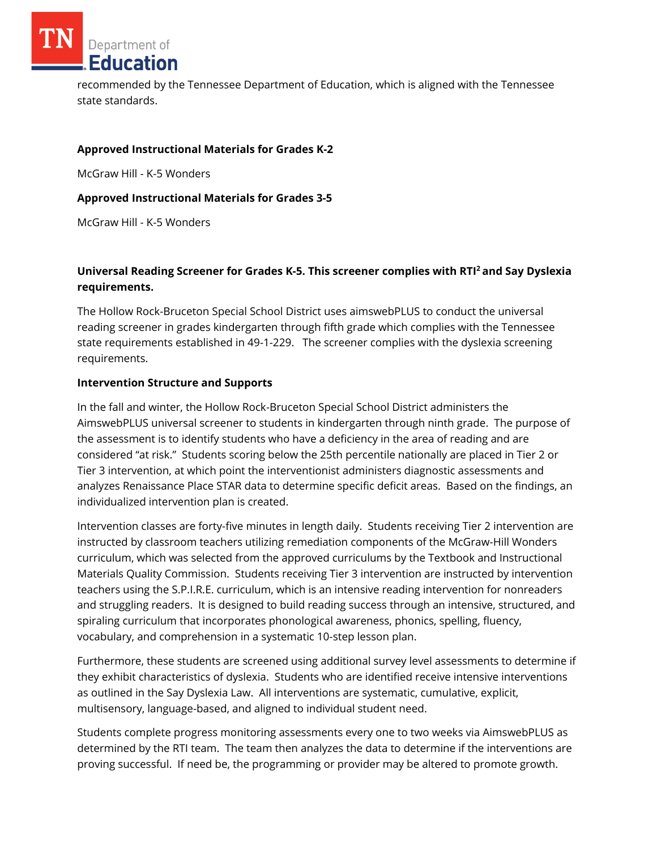Department of **Education** 

recommended by the Tennessee Department of Education, which is aligned with the Tennessee state standards.

### **Approved Instructional Materials for Grades K-2**

McGraw Hill - K-5 Wonders

### **Approved Instructional Materials for Grades 3-5**

McGraw Hill - K-5 Wonders

## **Universal Reading Screener for Grades K-5. This screener complies with RTI<sup>2</sup>and Say Dyslexia requirements.**

The Hollow Rock-Bruceton Special School District uses aimswebPLUS to conduct the universal reading screener in grades kindergarten through fifth grade which complies with the Tennessee state requirements established in 49-1-229. The screener complies with the dyslexia screening requirements.

### **Intervention Structure and Supports**

In the fall and winter, the Hollow Rock-Bruceton Special School District administers the AimswebPLUS universal screener to students in kindergarten through ninth grade. The purpose of the assessment is to identify students who have a deficiency in the area of reading and are considered "at risk." Students scoring below the 25th percentile nationally are placed in Tier 2 or Tier 3 intervention, at which point the interventionist administers diagnostic assessments and analyzes Renaissance Place STAR data to determine specific deficit areas. Based on the findings, an individualized intervention plan is created.

Intervention classes are forty-five minutes in length daily. Students receiving Tier 2 intervention are instructed by classroom teachers utilizing remediation components of the McGraw-Hill Wonders curriculum, which was selected from the approved curriculums by the Textbook and Instructional Materials Quality Commission. Students receiving Tier 3 intervention are instructed by intervention teachers using the S.P.I.R.E. curriculum, which is an intensive reading intervention for nonreaders and struggling readers. It is designed to build reading success through an intensive, structured, and spiraling curriculum that incorporates phonological awareness, phonics, spelling, fluency, vocabulary, and comprehension in a systematic 10-step lesson plan.

Furthermore, these students are screened using additional survey level assessments to determine if they exhibit characteristics of dyslexia. Students who are identified receive intensive interventions as outlined in the Say Dyslexia Law. All interventions are systematic, cumulative, explicit, multisensory, language-based, and aligned to individual student need.

Students complete progress monitoring assessments every one to two weeks via AimswebPLUS as determined by the RTI team. The team then analyzes the data to determine if the interventions are proving successful. If need be, the programming or provider may be altered to promote growth.